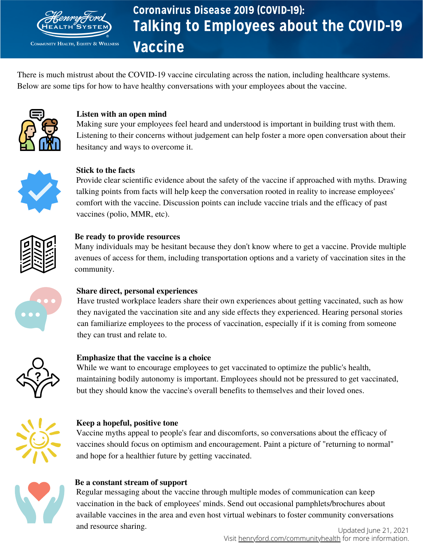

**COMMUNITY HEALTH, EQUITY & WELLNESS** 

# Talking to Employees about the COVID-19 Vaccine Coronavirus Disease 2019 (COVID-19):

There is much mistrust about the COVID-19 vaccine circulating across the nation, including healthcare systems. Below are some tips for how to have healthy conversations with your employees about the vaccine.



#### **Listen with an open mind**

Making sure your employees feel heard and understood is important in building trust with them. Listening to their concerns without judgement can help foster a more open conversation about their hesitancy and ways to overcome it.



#### **Stick to the facts**

Provide clear scientific evidence about the safety of the vaccine if approached with myths. Drawing talking points from facts will help keep the conversation rooted in reality to increase employees' comfort with the vaccine. Discussion points can include vaccine trials and the efficacy of past vaccines (polio, MMR, etc).



#### **Be ready to provide resources**

Many individuals may be hesitant because they don't know where to get a vaccine. Provide multiple avenues of access for them, including transportation options and a variety of vaccination sites in the community.



#### **Share direct, personal experiences**

Have trusted workplace leaders share their own experiences about getting vaccinated, such as how they navigated the vaccination site and any side effects they experienced. Hearing personal stories can familiarize employees to the process of vaccination, especially if it is coming from someone they can trust and relate to.



#### **Emphasize that the vaccine is a choice**

While we want to encourage employees to get vaccinated to optimize the public's health, maintaining bodily autonomy is important. Employees should not be pressured to get vaccinated, but they should know the vaccine's overall benefits to themselves and their loved ones.



#### **Keep a hopeful, positive tone**

Vaccine myths appeal to people's fear and discomforts, so conversations about the efficacy of vaccines should focus on optimism and encouragement. Paint a picture of "returning to normal" and hope for a healthier future by getting vaccinated.



#### **Be a constant stream of support**

Regular messaging about the vaccine through multiple modes of communication can keep vaccination in the back of employees' minds. Send out occasional pamphlets/brochures about available vaccines in the area and even host virtual webinars to foster community conversations and resource sharing.

Visit [henryford.com/communityhealth](http://www.henryford.com/about/community-health) for more information. Updated June 21, 2021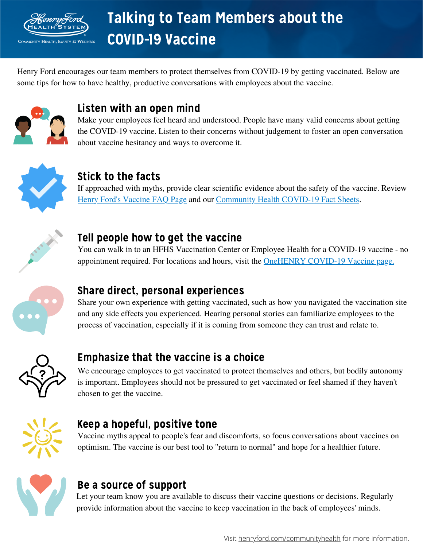

# Talking to Team Members about the COVID-19 Vaccine

Henry Ford encourages our team members to protect themselves from COVID-19 by getting vaccinated. Below are some tips for how to have healthy, productive conversations with employees about the vaccine.



### Listen with an open mind

Make your employees feel heard and understood. People have many valid concerns about getting the COVID-19 vaccine. Listen to their concerns without judgement to foster an open conversation about vaccine hesitancy and ways to overcome it.



### Stick to the facts

If approached with myths, provide clear scientific evidence about the safety of the vaccine. Review Henry Ford's [Vaccine](https://www.henryford.com/coronavirus/vaccine-faqs) FAQ Page and our [Community](https://www.henryford.com/about/community-health/covid19) Health COVID-19 Fact Sheets.



#### Tell people how to get the vaccine

You can walk in to an HFHS Vaccination Center or Employee Health for a COVID-19 vaccine - no appointment required. For locations and hours, visit the [OneHENRY](https://onehenry.hfhs.org/departments/covid-19-vaccine/Pages/Overview.aspx) COVID-19 Vaccine page.



### Share direct, personal experiences

Share your own experience with getting vaccinated, such as how you navigated the vaccination site and any side effects you experienced. Hearing personal stories can familiarize employees to the process of vaccination, especially if it is coming from someone they can trust and relate to.



### Emphasize that the vaccine is a choice

We encourage employees to get vaccinated to protect themselves and others, but bodily autonomy is important. Employees should not be pressured to get vaccinated or feel shamed if they haven't chosen to get the vaccine.



#### Keep a hopeful, positive tone

Vaccine myths appeal to people's fear and discomforts, so focus conversations about vaccines on optimism. The vaccine is our best tool to "return to normal" and hope for a healthier future.



# Be a source of support

Let your team know you are available to discuss their vaccine questions or decisions. Regularly provide information about the vaccine to keep vaccination in the back of employees' minds.